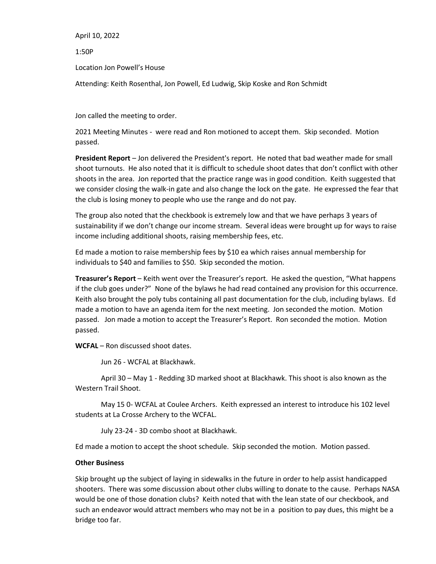April 10, 2022

1:50P

Location Jon Powell's House

Attending: Keith Rosenthal, Jon Powell, Ed Ludwig, Skip Koske and Ron Schmidt

Jon called the meeting to order.

2021 Meeting Minutes - were read and Ron motioned to accept them. Skip seconded. Motion passed.

**President Report** – Jon delivered the President's report. He noted that bad weather made for small shoot turnouts. He also noted that it is difficult to schedule shoot dates that don't conflict with other shoots in the area. Jon reported that the practice range was in good condition. Keith suggested that we consider closing the walk-in gate and also change the lock on the gate. He expressed the fear that the club is losing money to people who use the range and do not pay.

The group also noted that the checkbook is extremely low and that we have perhaps 3 years of sustainability if we don't change our income stream. Several ideas were brought up for ways to raise income including additional shoots, raising membership fees, etc.

Ed made a motion to raise membership fees by \$10 ea which raises annual membership for individuals to \$40 and families to \$50. Skip seconded the motion.

**Treasurer's Report** – Keith went over the Treasurer's report. He asked the question, "What happens if the club goes under?" None of the bylaws he had read contained any provision for this occurrence. Keith also brought the poly tubs containing all past documentation for the club, including bylaws. Ed made a motion to have an agenda item for the next meeting. Jon seconded the motion. Motion passed. Jon made a motion to accept the Treasurer's Report. Ron seconded the motion. Motion passed.

**WCFAL** – Ron discussed shoot dates.

Jun 26 - WCFAL at Blackhawk.

April 30 – May 1 - Redding 3D marked shoot at Blackhawk. This shoot is also known as the Western Trail Shoot.

May 15 0- WCFAL at Coulee Archers. Keith expressed an interest to introduce his 102 level students at La Crosse Archery to the WCFAL.

July 23-24 - 3D combo shoot at Blackhawk.

Ed made a motion to accept the shoot schedule. Skip seconded the motion. Motion passed.

#### **Other Business**

Skip brought up the subject of laying in sidewalks in the future in order to help assist handicapped shooters. There was some discussion about other clubs willing to donate to the cause. Perhaps NASA would be one of those donation clubs? Keith noted that with the lean state of our checkbook, and such an endeavor would attract members who may not be in a position to pay dues, this might be a bridge too far.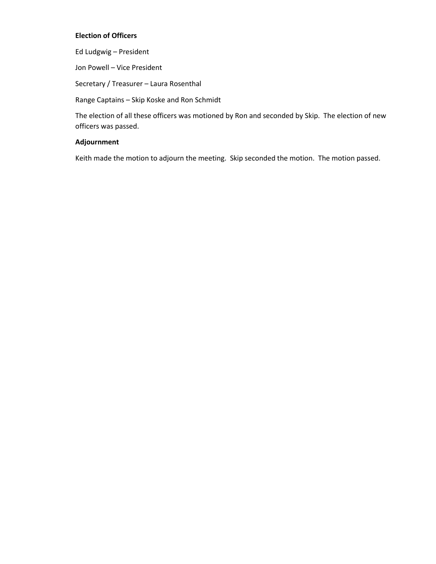#### **Election of Officers**

Ed Ludgwig – President

Jon Powell – Vice President

Secretary / Treasurer – Laura Rosenthal

Range Captains – Skip Koske and Ron Schmidt

The election of all these officers was motioned by Ron and seconded by Skip. The election of new officers was passed.

#### **Adjournment**

Keith made the motion to adjourn the meeting. Skip seconded the motion. The motion passed.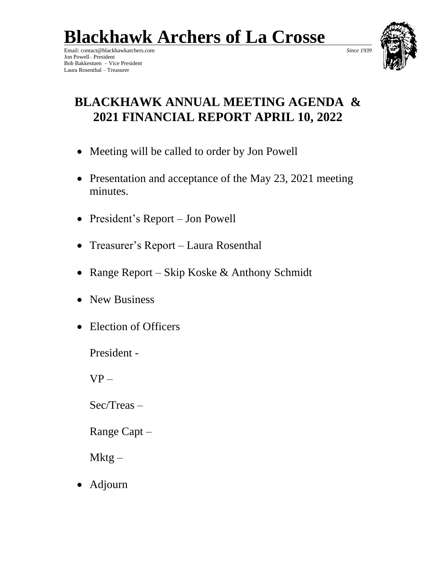**Blackhawk Archers of La Crosse**

Email: contact@blackhawkarchers.com *Since 1939* Jon Powell– President Bob Bakkestuen – Vice President Laura Rosenthal – Treasurer



### **BLACKHAWK ANNUAL MEETING AGENDA & 2021 FINANCIAL REPORT APRIL 10, 2022**

- Meeting will be called to order by Jon Powell
- Presentation and acceptance of the May 23, 2021 meeting minutes.
- President's Report Jon Powell
- Treasurer's Report Laura Rosenthal
- Range Report Skip Koske & Anthony Schmidt
- New Business
- Election of Officers

President -

 $VP -$ 

Sec/Treas –

Range Capt –

Mktg –

• Adjourn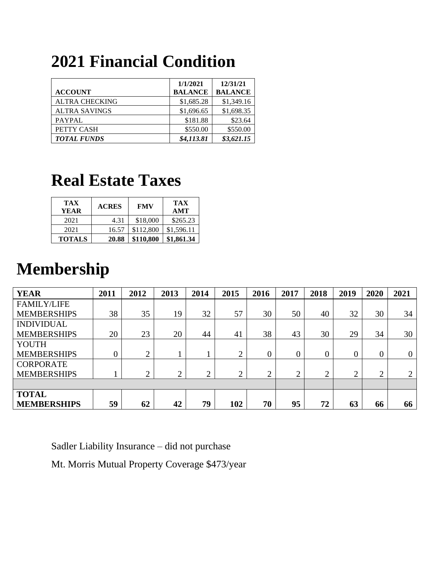# **2021 Financial Condition**

|                       | 1/1/2021       | 12/31/21       |
|-----------------------|----------------|----------------|
| <b>ACCOUNT</b>        | <b>BALANCE</b> | <b>BALANCE</b> |
| <b>ALTRA CHECKING</b> | \$1,685.28     | \$1,349.16     |
| <b>ALTRA SAVINGS</b>  | \$1,696.65     | \$1,698.35     |
| PAYPAL                | \$181.88       | \$23.64        |
| PETTY CASH            | \$550.00       | \$550.00       |
| <b>TOTAL FUNDS</b>    | \$4,113.81     | \$3,621.15     |

## **Real Estate Taxes**

| <b>TAX</b><br><b>YEAR</b> | <b>ACRES</b> | <b>FMV</b> | <b>TAX</b><br>AMT |
|---------------------------|--------------|------------|-------------------|
| 2021                      | 4.31         | \$18,000   | \$265.23          |
| 2021                      | 16.57        | \$112,800  | \$1,596.11        |
| <b>TOTALS</b>             | 20.88        | \$110,800  | \$1,861.34        |

# **Membership**

| <b>YEAR</b>        | 2011           | 2012           | 2013   | 2014 | 2015   | 2016      | 2017            | 2018           | 2019 | 2020           | 2021           |
|--------------------|----------------|----------------|--------|------|--------|-----------|-----------------|----------------|------|----------------|----------------|
| <b>FAMILY/LIFE</b> |                |                |        |      |        |           |                 |                |      |                |                |
| <b>MEMBERSHIPS</b> | 38             | 35             | 19     | 32   | 57     | 30        | 50              | 40             | 32   | 30             | 34             |
| <b>INDIVIDUAL</b>  |                |                |        |      |        |           |                 |                |      |                |                |
| <b>MEMBERSHIPS</b> | 20             | 23             | 20     | 44   | 41     | 38        | 43              | 30             | 29   | 34             | 30             |
| <b>YOUTH</b>       |                |                |        |      |        |           |                 |                |      |                |                |
| <b>MEMBERSHIPS</b> | $\overline{0}$ | $\bigcap$      |        |      | ↑<br>∠ | 0         | $\overline{0}$  | $\overline{0}$ | 0    | $\overline{0}$ | $\overline{0}$ |
| <b>CORPORATE</b>   |                |                |        |      |        |           |                 |                |      |                |                |
| <b>MEMBERSHIPS</b> |                | $\overline{2}$ | ↑<br>∠ | 2    | 2      | $\bigcap$ | $\bigcirc$<br>∠ | 2              | ↑    | $\overline{2}$ | $\overline{2}$ |
|                    |                |                |        |      |        |           |                 |                |      |                |                |
| <b>TOTAL</b>       |                |                |        |      |        |           |                 |                |      |                |                |
| <b>MEMBERSHIPS</b> | 59             | 62             | 42     | 79   | 102    | 70        | 95              | 72             | 63   | 66             | 66             |

Sadler Liability Insurance – did not purchase

Mt. Morris Mutual Property Coverage \$473/year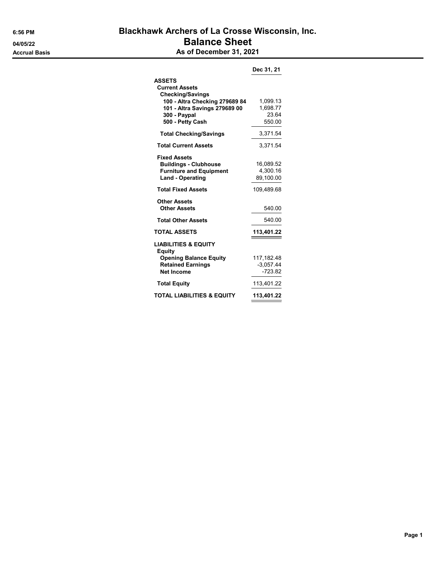### 6:56 PM Blackhawk Archers of La Crosse Wisconsin, Inc. 04/05/22 Balance Sheet Accrual Basis Accrual Basis As of December 31, 2021

|                                                                                                                  | Dec 31, 21                         |
|------------------------------------------------------------------------------------------------------------------|------------------------------------|
| <b>ASSETS</b><br><b>Current Assets</b><br><b>Checking/Savings</b><br>100 - Altra Checking 279689 84              | 1,099.13                           |
| 101 - Altra Savings 279689 00<br>300 - Paypal<br>500 - Petty Cash                                                | 1,698.77<br>23.64<br>550.00        |
| <b>Total Checking/Savings</b>                                                                                    | 3,371.54                           |
| <b>Total Current Assets</b>                                                                                      | 3,371.54                           |
| <b>Fixed Assets</b><br><b>Buildings - Clubhouse</b><br><b>Furniture and Equipment</b><br><b>Land - Operating</b> | 16,089.52<br>4,300.16<br>89,100.00 |
| <b>Total Fixed Assets</b>                                                                                        | 109,489.68                         |
| Other Assets<br><b>Other Assets</b>                                                                              | 540.00                             |
| <b>Total Other Assets</b>                                                                                        | 540.00                             |
| <b>TOTAL ASSETS</b>                                                                                              | 113,401.22                         |
| <b>LIABILITIES &amp; EQUITY</b><br>Equity                                                                        |                                    |
| <b>Opening Balance Equity</b>                                                                                    | 117,182.48                         |
| <b>Retained Earnings</b><br><b>Net Income</b>                                                                    | $-3,057.44$<br>$-723.82$           |
| <b>Total Equity</b>                                                                                              | 113,401.22                         |
| <b>TOTAL LIABILITIES &amp; EQUITY</b>                                                                            | 113,401.22                         |